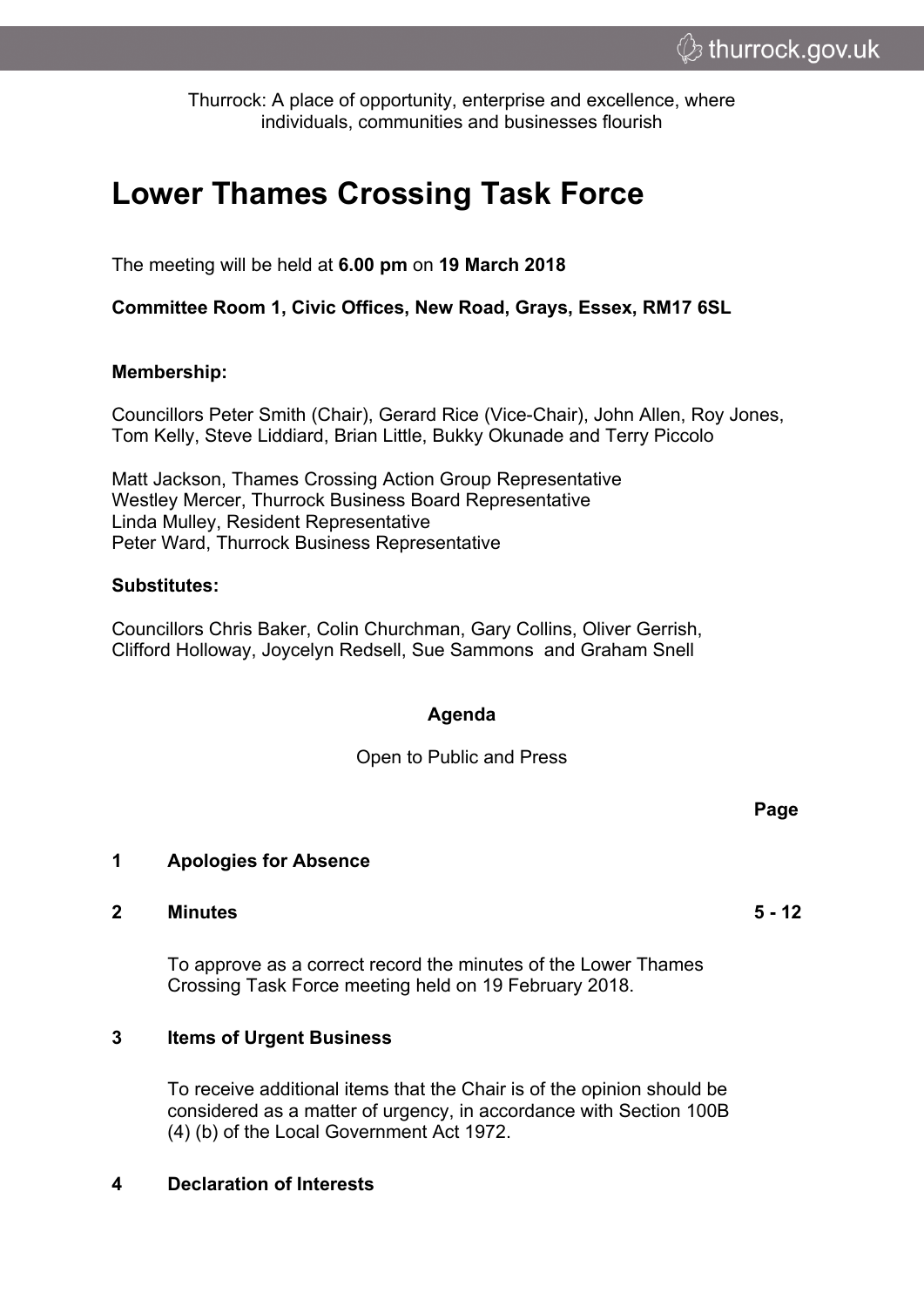Thurrock: A place of opportunity, enterprise and excellence, where individuals, communities and businesses flourish

# **Lower Thames Crossing Task Force**

The meeting will be held at **6.00 pm** on **19 March 2018**

**Committee Room 1, Civic Offices, New Road, Grays, Essex, RM17 6SL**

# **Membership:**

Councillors Peter Smith (Chair), Gerard Rice (Vice-Chair), John Allen, Roy Jones, Tom Kelly, Steve Liddiard, Brian Little, Bukky Okunade and Terry Piccolo

Matt Jackson, Thames Crossing Action Group Representative Westley Mercer, Thurrock Business Board Representative Linda Mulley, Resident Representative Peter Ward, Thurrock Business Representative

# **Substitutes:**

Councillors Chris Baker, Colin Churchman, Gary Collins, Oliver Gerrish, Clifford Holloway, Joycelyn Redsell, Sue Sammons and Graham Snell

# **Agenda**

Open to Public and Press

#### **1 Apologies for Absence**

#### **2 Minutes 5 - 12**

To approve as a correct record the minutes of the Lower Thames Crossing Task Force meeting held on 19 February 2018.

# **3 Items of Urgent Business**

To receive additional items that the Chair is of the opinion should be considered as a matter of urgency, in accordance with Section 100B (4) (b) of the Local Government Act 1972.

# **4 Declaration of Interests**

**Page**